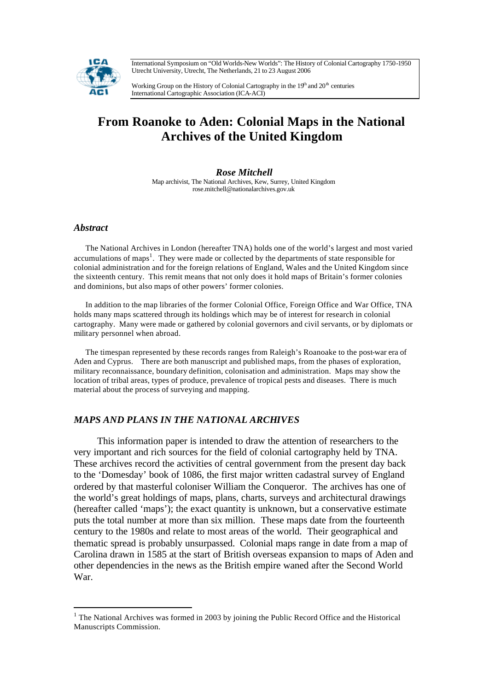International Symposium on "Old Worlds-New Worlds": The History of Colonial Cartography 1750-1950 Utrecht University, Utrecht, The Netherlands, 21 to 23 August 2006



Working Group on the History of Colonial Cartography in the  $19<sup>th</sup>$  and  $20<sup>th</sup>$  centuries International Cartographic Association (ICA-ACI)

# **From Roanoke to Aden: Colonial Maps in the National Archives of the United Kingdom**

*Rose Mitchell* Map archivist, The National Archives, Kew, Surrey, United Kingdom rose.mitchell@nationalarchives.gov.uk

#### *Abstract*

l

The National Archives in London (hereafter TNA) holds one of the world's largest and most varied accumulations of maps<sup>1</sup>. They were made or collected by the departments of state responsible for colonial administration and for the foreign relations of England, Wales and the United Kingdom since the sixteenth century. This remit means that not only does it hold maps of Britain's former colonies and dominions, but also maps of other powers' former colonies.

In addition to the map libraries of the former Colonial Office, Foreign Office and War Office, TNA holds many maps scattered through its holdings which may be of interest for research in colonial cartography. Many were made or gathered by colonial governors and civil servants, or by diplomats or military personnel when abroad.

The timespan represented by these records ranges from Raleigh's Roanoake to the post-war era of Aden and Cyprus. There are both manuscript and published maps, from the phases of exploration, military reconnaissance, boundary definition, colonisation and administration. Maps may show the location of tribal areas, types of produce, prevalence of tropical pests and diseases. There is much material about the process of surveying and mapping.

# *MAPS AND PLANS IN THE NATIONAL ARCHIVES*

This information paper is intended to draw the attention of researchers to the very important and rich sources for the field of colonial cartography held by TNA. These archives record the activities of central government from the present day back to the 'Domesday' book of 1086, the first major written cadastral survey of England ordered by that masterful coloniser William the Conqueror. The archives has one of the world's great holdings of maps, plans, charts, surveys and architectural drawings (hereafter called 'maps'); the exact quantity is unknown, but a conservative estimate puts the total number at more than six million. These maps date from the fourteenth century to the 1980s and relate to most areas of the world. Their geographical and thematic spread is probably unsurpassed.Colonial maps range in date from a map of Carolina drawn in 1585 at the start of British overseas expansion to maps of Aden and other dependencies in the news as the British empire waned after the Second World War.

<sup>&</sup>lt;sup>1</sup> The National Archives was formed in 2003 by joining the Public Record Office and the Historical Manuscripts Commission.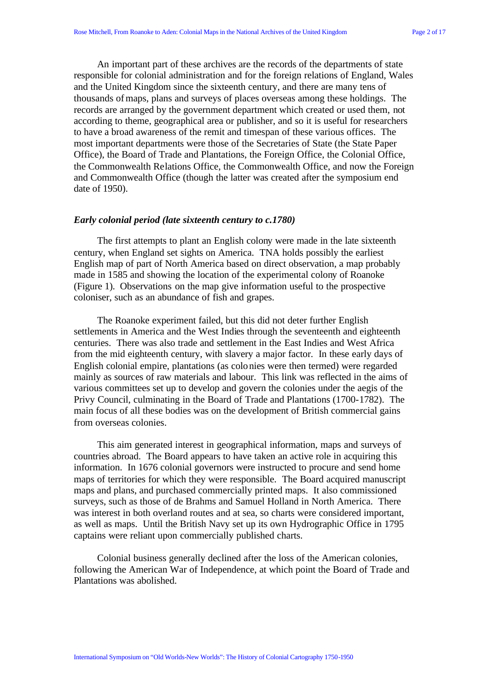An important part of these archives are the records of the departments of state responsible for colonial administration and for the foreign relations of England, Wales and the United Kingdom since the sixteenth century, and there are many tens of thousands of maps, plans and surveys of places overseas among these holdings. The records are arranged by the government department which created or used them, not according to theme, geographical area or publisher, and so it is useful for researchers to have a broad awareness of the remit and timespan of these various offices. The most important departments were those of the Secretaries of State (the State Paper Office), the Board of Trade and Plantations, the Foreign Office, the Colonial Office, the Commonwealth Relations Office, the Commonwealth Office, and now the Foreign and Commonwealth Office (though the latter was created after the symposium end date of 1950).

#### *Early colonial period (late sixteenth century to c.1780)*

The first attempts to plant an English colony were made in the late sixteenth century, when England set sights on America. TNA holds possibly the earliest English map of part of North America based on direct observation, a map probably made in 1585 and showing the location of the experimental colony of Roanoke (Figure 1). Observations on the map give information useful to the prospective coloniser, such as an abundance of fish and grapes.

The Roanoke experiment failed, but this did not deter further English settlements in America and the West Indies through the seventeenth and eighteenth centuries. There was also trade and settlement in the East Indies and West Africa from the mid eighteenth century, with slavery a major factor. In these early days of English colonial empire, plantations (as colonies were then termed) were regarded mainly as sources of raw materials and labour. This link was reflected in the aims of various committees set up to develop and govern the colonies under the aegis of the Privy Council, culminating in the Board of Trade and Plantations (1700-1782). The main focus of all these bodies was on the development of British commercial gains from overseas colonies.

This aim generated interest in geographical information, maps and surveys of countries abroad. The Board appears to have taken an active role in acquiring this information. In 1676 colonial governors were instructed to procure and send home maps of territories for which they were responsible. The Board acquired manuscript maps and plans, and purchased commercially printed maps. It also commissioned surveys, such as those of de Brahms and Samuel Holland in North America. There was interest in both overland routes and at sea, so charts were considered important, as well as maps. Until the British Navy set up its own Hydrographic Office in 1795 captains were reliant upon commercially published charts.

Colonial business generally declined after the loss of the American colonies, following the American War of Independence, at which point the Board of Trade and Plantations was abolished.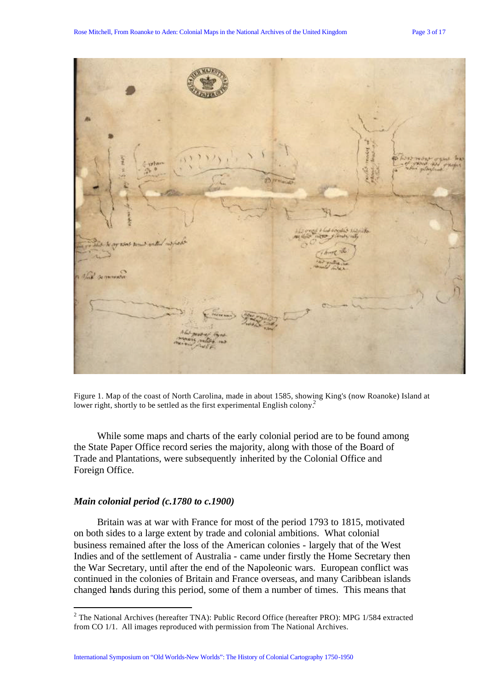

Figure 1. Map of the coast of North Carolina, made in about 1585, showing King's (now Roanoke) Island at lower right, shortly to be settled as the first experimental English colony.<sup>2</sup>

While some maps and charts of the early colonial period are to be found among the State Paper Office record series the majority, along with those of the Board of Trade and Plantations, were subsequently inherited by the Colonial Office and Foreign Office.

# *Main colonial period (c.1780 to c.1900)*

l

Britain was at war with France for most of the period 1793 to 1815, motivated on both sides to a large extent by trade and colonial ambitions. What colonial business remained after the loss of the American colonies - largely that of the West Indies and of the settlement of Australia - came under firstly the Home Secretary then the War Secretary, until after the end of the Napoleonic wars. European conflict was continued in the colonies of Britain and France overseas, and many Caribbean islands changed hands during this period, some of them a number of times. This means that

 $2$  The National Archives (hereafter TNA): Public Record Office (hereafter PRO): MPG 1/584 extracted from CO 1/1. All images reproduced with permission from The National Archives.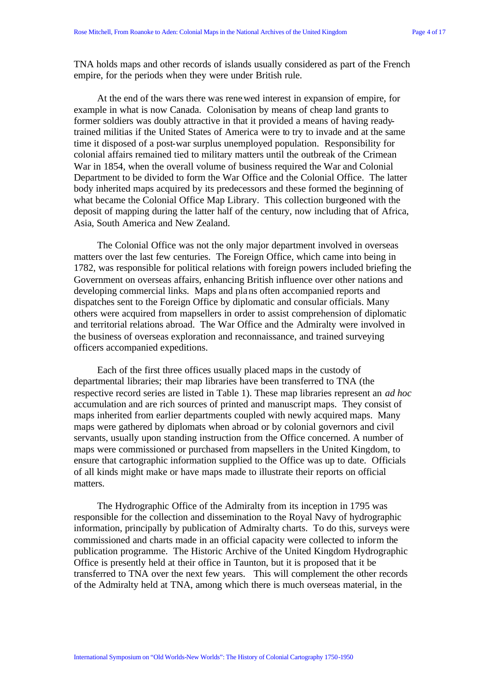TNA holds maps and other records of islands usually considered as part of the French empire, for the periods when they were under British rule.

At the end of the wars there was renewed interest in expansion of empire, for example in what is now Canada. Colonisation by means of cheap land grants to former soldiers was doubly attractive in that it provided a means of having readytrained militias if the United States of America were to try to invade and at the same time it disposed of a post-war surplus unemployed population. Responsibility for colonial affairs remained tied to military matters until the outbreak of the Crimean War in 1854, when the overall volume of business required the War and Colonial Department to be divided to form the War Office and the Colonial Office. The latter body inherited maps acquired by its predecessors and these formed the beginning of what became the Colonial Office Map Library. This collection burgeoned with the deposit of mapping during the latter half of the century, now including that of Africa, Asia, South America and New Zealand.

The Colonial Office was not the only major department involved in overseas matters over the last few centuries. The Foreign Office, which came into being in 1782, was responsible for political relations with foreign powers included briefing the Government on overseas affairs, enhancing British influence over other nations and developing commercial links. Maps and plans often accompanied reports and dispatches sent to the Foreign Office by diplomatic and consular officials. Many others were acquired from mapsellers in order to assist comprehension of diplomatic and territorial relations abroad. The War Office and the Admiralty were involved in the business of overseas exploration and reconnaissance, and trained surveying officers accompanied expeditions.

Each of the first three offices usually placed maps in the custody of departmental libraries; their map libraries have been transferred to TNA (the respective record series are listed in Table 1). These map libraries represent an *ad hoc* accumulation and are rich sources of printed and manuscript maps. They consist of maps inherited from earlier departments coupled with newly acquired maps. Many maps were gathered by diplomats when abroad or by colonial governors and civil servants, usually upon standing instruction from the Office concerned. A number of maps were commissioned or purchased from mapsellers in the United Kingdom, to ensure that cartographic information supplied to the Office was up to date. Officials of all kinds might make or have maps made to illustrate their reports on official matters.

The Hydrographic Office of the Admiralty from its inception in 1795 was responsible for the collection and dissemination to the Royal Navy of hydrographic information, principally by publication of Admiralty charts. To do this, surveys were commissioned and charts made in an official capacity were collected to inform the publication programme. The Historic Archive of the United Kingdom Hydrographic Office is presently held at their office in Taunton, but it is proposed that it be transferred to TNA over the next few years. This will complement the other records of the Admiralty held at TNA, among which there is much overseas material, in the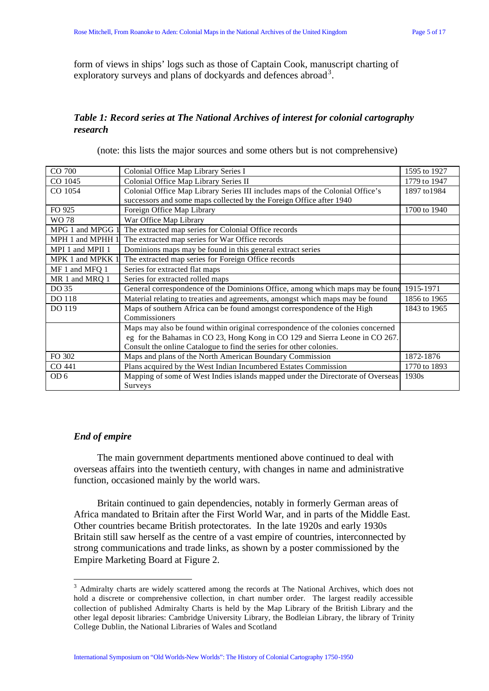form of views in ships' logs such as those of Captain Cook, manuscript charting of exploratory surveys and plans of dockyards and defences abroad<sup>3</sup>.

# *Table 1: Record series at The National Archives of interest for colonial cartography research*

(note: this lists the major sources and some others but is not comprehensive)

| CO 700           | Colonial Office Map Library Series I                                            | 1595 to 1927 |
|------------------|---------------------------------------------------------------------------------|--------------|
| CO 1045          | Colonial Office Map Library Series II                                           | 1779 to 1947 |
| CO 1054          | Colonial Office Map Library Series III includes maps of the Colonial Office's   | 1897 to 1984 |
|                  | successors and some maps collected by the Foreign Office after 1940             |              |
| FO 925           | Foreign Office Map Library                                                      | 1700 to 1940 |
| WO 78            | War Office Map Library                                                          |              |
| MPG 1 and MPGG 1 | The extracted map series for Colonial Office records                            |              |
| MPH 1 and MPHH 1 | The extracted map series for War Office records                                 |              |
| MPI 1 and MPII 1 | Dominions maps may be found in this general extract series                      |              |
| MPK 1 and MPKK 1 | The extracted map series for Foreign Office records                             |              |
| MF 1 and MFQ 1   | Series for extracted flat maps                                                  |              |
| MR 1 and MRQ 1   | Series for extracted rolled maps                                                |              |
| DO 35            | General correspondence of the Dominions Office, among which maps may be found   | 1915-1971    |
| DO 118           | Material relating to treaties and agreements, amongst which maps may be found   | 1856 to 1965 |
| DO 119           | Maps of southern Africa can be found amongst correspondence of the High         | 1843 to 1965 |
|                  | Commissioners                                                                   |              |
|                  | Maps may also be found within original correspondence of the colonies concerned |              |
|                  | eg for the Bahamas in CO 23, Hong Kong in CO 129 and Sierra Leone in CO 267.    |              |
|                  | Consult the online Catalogue to find the series for other colonies.             |              |
| FO 302           | Maps and plans of the North American Boundary Commission                        | 1872-1876    |
| CO 441           | Plans acquired by the West Indian Incumbered Estates Commission                 | 1770 to 1893 |
| OD <sub>6</sub>  | Mapping of some of West Indies islands mapped under the Directorate of Overseas | 1930s        |
|                  | Surveys                                                                         |              |

# *End of empire*

l

The main government departments mentioned above continued to deal with overseas affairs into the twentieth century, with changes in name and administrative function, occasioned mainly by the world wars.

Britain continued to gain dependencies, notably in formerly German areas of Africa mandated to Britain after the First World War, and in parts of the Middle East. Other countries became British protectorates. In the late 1920s and early 1930s Britain still saw herself as the centre of a vast empire of countries, interconnected by strong communications and trade links, as shown by a poster commissioned by the Empire Marketing Board at Figure 2.

<sup>&</sup>lt;sup>3</sup> Admiralty charts are widely scattered among the records at The National Archives, which does not hold a discrete or comprehensive collection, in chart number order. The largest readily accessible collection of published Admiralty Charts is held by the Map Library of the British Library and the other legal deposit libraries: Cambridge University Library, the Bodleian Library, the library of Trinity College Dublin, the National Libraries of Wales and Scotland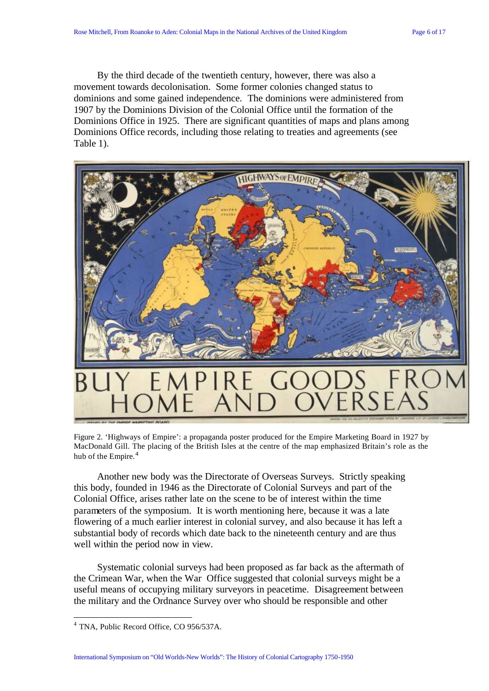By the third decade of the twentieth century, however, there was also a movement towards decolonisation. Some former colonies changed status to dominions and some gained independence. The dominions were administered from 1907 by the Dominions Division of the Colonial Office until the formation of the Dominions Office in 1925. There are significant quantities of maps and plans among Dominions Office records, including those relating to treaties and agreements (see Table 1).



Figure 2. 'Highways of Empire': a propaganda poster produced for the Empire Marketing Board in 1927 by MacDonald Gill. The placing of the British Isles at the centre of the map emphasized Britain's role as the hub of the Empire.<sup>4</sup>

Another new body was the Directorate of Overseas Surveys. Strictly speaking this body, founded in 1946 as the Directorate of Colonial Surveys and part of the Colonial Office, arises rather late on the scene to be of interest within the time parameters of the symposium. It is worth mentioning here, because it was a late flowering of a much earlier interest in colonial survey, and also because it has left a substantial body of records which date back to the nineteenth century and are thus well within the period now in view.

Systematic colonial surveys had been proposed as far back as the aftermath of the Crimean War, when the War Office suggested that colonial surveys might be a useful means of occupying military surveyors in peacetime. Disagreement between the military and the Ordnance Survey over who should be responsible and other

l

International Symposium on "Old Worlds-New Worlds": The History of Colonial Cartography 1750-1950

<sup>4</sup> TNA, Public Record Office, CO 956/537A.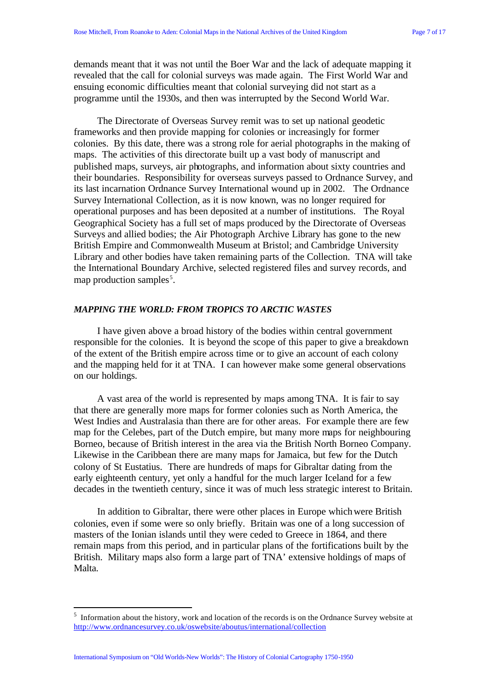demands meant that it was not until the Boer War and the lack of adequate mapping it revealed that the call for colonial surveys was made again. The First World War and ensuing economic difficulties meant that colonial surveying did not start as a programme until the 1930s, and then was interrupted by the Second World War.

The Directorate of Overseas Survey remit was to set up national geodetic frameworks and then provide mapping for colonies or increasingly for former colonies. By this date, there was a strong role for aerial photographs in the making of maps. The activities of this directorate built up a vast body of manuscript and published maps, surveys, air photographs, and information about sixty countries and their boundaries. Responsibility for overseas surveys passed to Ordnance Survey, and its last incarnation Ordnance Survey International wound up in 2002. The Ordnance Survey International Collection, as it is now known, was no longer required for operational purposes and has been deposited at a number of institutions. The Royal Geographical Society has a full set of maps produced by the Directorate of Overseas Surveys and allied bodies; the Air Photograph Archive Library has gone to the new British Empire and Commonwealth Museum at Bristol; and Cambridge University Library and other bodies have taken remaining parts of the Collection. TNA will take the International Boundary Archive, selected registered files and survey records, and map production samples<sup>5</sup>.

#### *MAPPING THE WORLD: FROM TROPICS TO ARCTIC WASTES*

I have given above a broad history of the bodies within central government responsible for the colonies. It is beyond the scope of this paper to give a breakdown of the extent of the British empire across time or to give an account of each colony and the mapping held for it at TNA. I can however make some general observations on our holdings.

A vast area of the world is represented by maps among TNA. It is fair to say that there are generally more maps for former colonies such as North America, the West Indies and Australasia than there are for other areas. For example there are few map for the Celebes, part of the Dutch empire, but many more maps for neighbouring Borneo, because of British interest in the area via the British North Borneo Company. Likewise in the Caribbean there are many maps for Jamaica, but few for the Dutch colony of St Eustatius. There are hundreds of maps for Gibraltar dating from the early eighteenth century, yet only a handful for the much larger Iceland for a few decades in the twentieth century, since it was of much less strategic interest to Britain.

In addition to Gibraltar, there were other places in Europe which were British colonies, even if some were so only briefly. Britain was one of a long succession of masters of the Ionian islands until they were ceded to Greece in 1864, and there remain maps from this period, and in particular plans of the fortifications built by the British. Military maps also form a large part of TNA' extensive holdings of maps of Malta.

<sup>&</sup>lt;sup>5</sup> Information about the history, work and location of the records is on the Ordnance Survey website at http://www.ordnancesurvey.co.uk/oswebsite/aboutus/international/collection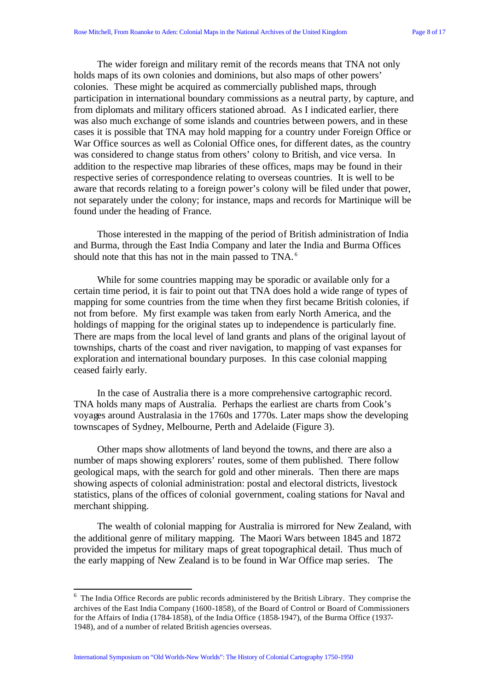The wider foreign and military remit of the records means that TNA not only holds maps of its own colonies and dominions, but also maps of other powers' colonies. These might be acquired as commercially published maps, through participation in international boundary commissions as a neutral party, by capture, and from diplomats and military officers stationed abroad. As I indicated earlier, there was also much exchange of some islands and countries between powers, and in these cases it is possible that TNA may hold mapping for a country under Foreign Office or War Office sources as well as Colonial Office ones, for different dates, as the country was considered to change status from others' colony to British, and vice versa. In addition to the respective map libraries of these offices, maps may be found in their respective series of correspondence relating to overseas countries. It is well to be aware that records relating to a foreign power's colony will be filed under that power, not separately under the colony; for instance, maps and records for Martinique will be found under the heading of France.

Those interested in the mapping of the period of British administration of India and Burma, through the East India Company and later the India and Burma Offices should note that this has not in the main passed to TNA.<sup>6</sup>

While for some countries mapping may be sporadic or available only for a certain time period, it is fair to point out that TNA does hold a wide range of types of mapping for some countries from the time when they first became British colonies, if not from before. My first example was taken from early North America, and the holdings of mapping for the original states up to independence is particularly fine. There are maps from the local level of land grants and plans of the original layout of townships, charts of the coast and river navigation, to mapping of vast expanses for exploration and international boundary purposes. In this case colonial mapping ceased fairly early.

In the case of Australia there is a more comprehensive cartographic record. TNA holds many maps of Australia. Perhaps the earliest are charts from Cook's voyages around Australasia in the 1760s and 1770s. Later maps show the developing townscapes of Sydney, Melbourne, Perth and Adelaide (Figure 3).

Other maps show allotments of land beyond the towns, and there are also a number of maps showing explorers' routes, some of them published. There follow geological maps, with the search for gold and other minerals. Then there are maps showing aspects of colonial administration: postal and electoral districts, livestock statistics, plans of the offices of colonial government, coaling stations for Naval and merchant shipping.

The wealth of colonial mapping for Australia is mirrored for New Zealand, with the additional genre of military mapping. The Maori Wars between 1845 and 1872 provided the impetus for military maps of great topographical detail. Thus much of the early mapping of New Zealand is to be found in War Office map series. The

International Symposium on "Old Worlds-New Worlds": The History of Colonial Cartography 1750-1950

 $6$  The India Office Records are public records administered by the British Library. They comprise the archives of the East India Company (1600-1858), of the Board of Control or Board of Commissioners for the Affairs of India (1784-1858), of the India Office (1858-1947), of the Burma Office (1937- 1948), and of a number of related British agencies overseas.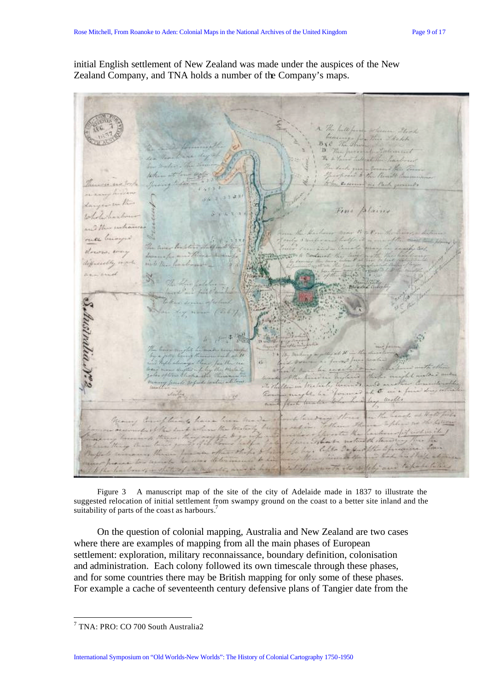initial English settlement of New Zealand was made under the auspices of the New Zealand Company, and TNA holds a number of the Company's maps.

Fores ustrala.r. ñ O tako

Figure 3 A manuscript map of the site of the city of Adelaide made in 1837 to illustrate the suggested relocation of initial settlement from swampy ground on the coast to a better site inland and the suitability of parts of the coast as harbours.<sup>7</sup>

On the question of colonial mapping, Australia and New Zealand are two cases where there are examples of mapping from all the main phases of European settlement: exploration, military reconnaissance, boundary definition, colonisation and administration. Each colony followed its own timescale through these phases, and for some countries there may be British mapping for only some of these phases. For example a cache of seventeenth century defensive plans of Tangier date from the

International Symposium on "Old Worlds-New Worlds": The History of Colonial Cartography 1750-1950

l 7 TNA: PRO: CO 700 South Australia2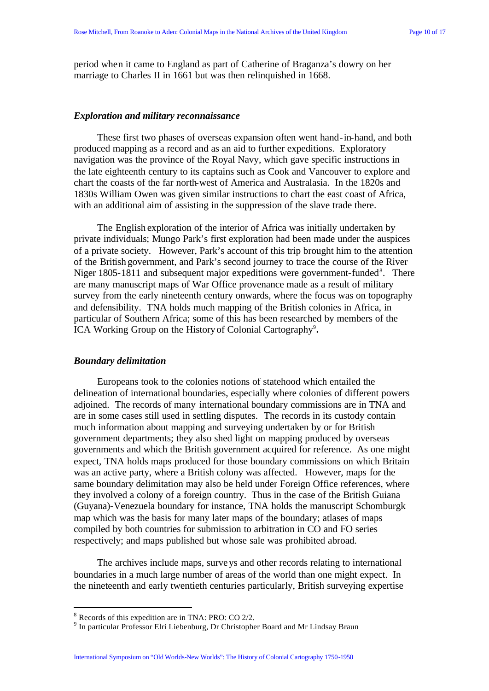period when it came to England as part of Catherine of Braganza's dowry on her marriage to Charles II in 1661 but was then relinquished in 1668.

#### *Exploration and military reconnaissance*

These first two phases of overseas expansion often went hand-in-hand, and both produced mapping as a record and as an aid to further expeditions. Exploratory navigation was the province of the Royal Navy, which gave specific instructions in the late eighteenth century to its captains such as Cook and Vancouver to explore and chart the coasts of the far north-west of America and Australasia. In the 1820s and 1830s William Owen was given similar instructions to chart the east coast of Africa, with an additional aim of assisting in the suppression of the slave trade there.

The English exploration of the interior of Africa was initially undertaken by private individuals; Mungo Park's first exploration had been made under the auspices of a private society. However, Park's account of this trip brought him to the attention of the British government, and Park's second journey to trace the course of the River Niger 1805-1811 and subsequent major expeditions were government-funded<sup>8</sup>. There are many manuscript maps of War Office provenance made as a result of military survey from the early nineteenth century onwards, where the focus was on topography and defensibility. TNA holds much mapping of the British colonies in Africa, in particular of Southern Africa; some of this has been researched by members of the ICA Working Group on the History of Colonial Cartography<sup>9</sup>.

#### *Boundary delimitation*

Europeans took to the colonies notions of statehood which entailed the delineation of international boundaries, especially where colonies of different powers adjoined. The records of many international boundary commissions are in TNA and are in some cases still used in settling disputes. The records in its custody contain much information about mapping and surveying undertaken by or for British government departments; they also shed light on mapping produced by overseas governments and which the British government acquired for reference. As one might expect, TNA holds maps produced for those boundary commissions on which Britain was an active party, where a British colony was affected. However, maps for the same boundary delimitation may also be held under Foreign Office references, where they involved a colony of a foreign country. Thus in the case of the British Guiana (Guyana)-Venezuela boundary for instance, TNA holds the manuscript Schomburgk map which was the basis for many later maps of the boundary; atlases of maps compiled by both countries for submission to arbitration in CO and FO series respectively; and maps published but whose sale was prohibited abroad.

The archives include maps, surveys and other records relating to international boundaries in a much large number of areas of the world than one might expect. In the nineteenth and early twentieth centuries particularly, British surveying expertise

 $8$  Records of this expedition are in TNA: PRO: CO 2/2.

<sup>&</sup>lt;sup>9</sup> In particular Professor Elri Liebenburg, Dr Christopher Board and Mr Lindsay Braun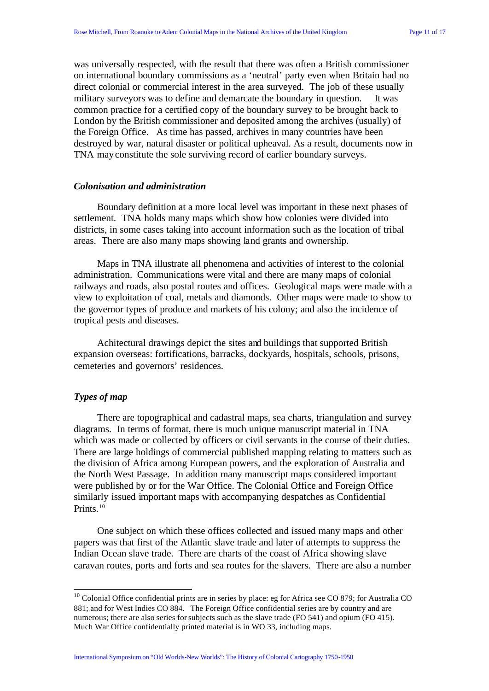was universally respected, with the result that there was often a British commissioner on international boundary commissions as a 'neutral' party even when Britain had no direct colonial or commercial interest in the area surveyed. The job of these usually military surveyors was to define and demarcate the boundary in question. It was common practice for a certified copy of the boundary survey to be brought back to London by the British commissioner and deposited among the archives (usually) of the Foreign Office. As time has passed, archives in many countries have been destroyed by war, natural disaster or political upheaval. As a result, documents now in TNA may constitute the sole surviving record of earlier boundary surveys.

#### *Colonisation and administration*

Boundary definition at a more local level was important in these next phases of settlement. TNA holds many maps which show how colonies were divided into districts, in some cases taking into account information such as the location of tribal areas. There are also many maps showing land grants and ownership.

Maps in TNA illustrate all phenomena and activities of interest to the colonial administration. Communications were vital and there are many maps of colonial railways and roads, also postal routes and offices. Geological maps were made with a view to exploitation of coal, metals and diamonds. Other maps were made to show to the governor types of produce and markets of his colony; and also the incidence of tropical pests and diseases.

Achitectural drawings depict the sites and buildings that supported British expansion overseas: fortifications, barracks, dockyards, hospitals, schools, prisons, cemeteries and governors' residences.

# *Types of map*

l

There are topographical and cadastral maps, sea charts, triangulation and survey diagrams. In terms of format, there is much unique manuscript material in TNA which was made or collected by officers or civil servants in the course of their duties. There are large holdings of commercial published mapping relating to matters such as the division of Africa among European powers, and the exploration of Australia and the North West Passage. In addition many manuscript maps considered important were published by or for the War Office. The Colonial Office and Foreign Office similarly issued important maps with accompanying despatches as Confidential Prints.<sup>10</sup>

One subject on which these offices collected and issued many maps and other papers was that first of the Atlantic slave trade and later of attempts to suppress the Indian Ocean slave trade. There are charts of the coast of Africa showing slave caravan routes, ports and forts and sea routes for the slavers. There are also a number

International Symposium on "Old Worlds-New Worlds": The History of Colonial Cartography 1750-1950

 $10$  Colonial Office confidential prints are in series by place: eg for Africa see CO 879; for Australia CO 881; and for West Indies CO 884. The Foreign Office confidential series are by country and are numerous; there are also series for subjects such as the slave trade (FO 541) and opium (FO 415). Much War Office confidentially printed material is in WO 33, including maps.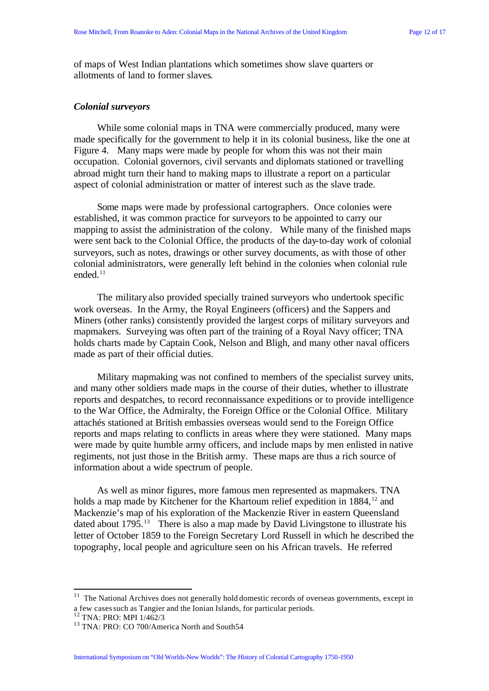of maps of West Indian plantations which sometimes show slave quarters or allotments of land to former slaves.

#### *Colonial surveyors*

While some colonial maps in TNA were commercially produced, many were made specifically for the government to help it in its colonial business, like the one at Figure 4. Many maps were made by people for whom this was not their main occupation. Colonial governors, civil servants and diplomats stationed or travelling abroad might turn their hand to making maps to illustrate a report on a particular aspect of colonial administration or matter of interest such as the slave trade.

Some maps were made by professional cartographers. Once colonies were established, it was common practice for surveyors to be appointed to carry our mapping to assist the administration of the colony. While many of the finished maps were sent back to the Colonial Office, the products of the day-to-day work of colonial surveyors, such as notes, drawings or other survey documents, as with those of other colonial administrators, were generally left behind in the colonies when colonial rule ended.<sup>11</sup>

The military also provided specially trained surveyors who undertook specific work overseas. In the Army, the Royal Engineers (officers) and the Sappers and Miners (other ranks) consistently provided the largest corps of military surveyors and mapmakers. Surveying was often part of the training of a Royal Navy officer; TNA holds charts made by Captain Cook, Nelson and Bligh, and many other naval officers made as part of their official duties.

Military mapmaking was not confined to members of the specialist survey units, and many other soldiers made maps in the course of their duties, whether to illustrate reports and despatches, to record reconnaissance expeditions or to provide intelligence to the War Office, the Admiralty, the Foreign Office or the Colonial Office. Military attachés stationed at British embassies overseas would send to the Foreign Office reports and maps relating to conflicts in areas where they were stationed. Many maps were made by quite humble army officers, and include maps by men enlisted in native regiments, not just those in the British army. These maps are thus a rich source of information about a wide spectrum of people.

As well as minor figures, more famous men represented as mapmakers. TNA holds a map made by Kitchener for the Khartoum relief expedition in 1884,<sup>12</sup> and Mackenzie's map of his exploration of the Mackenzie River in eastern Queensland dated about 1795.<sup>13</sup> There is also a map made by David Livingstone to illustrate his letter of October 1859 to the Foreign Secretary Lord Russell in which he described the topography, local people and agriculture seen on his African travels. He referred

<sup>&</sup>lt;sup>11</sup> The National Archives does not generally hold domestic records of overseas governments, except in a few cases such as Tangier and the Ionian Islands, for particular periods.

<sup>12</sup> TNA: PRO: MPI 1/462/3

<sup>&</sup>lt;sup>13</sup> TNA: PRO: CO 700/America North and South54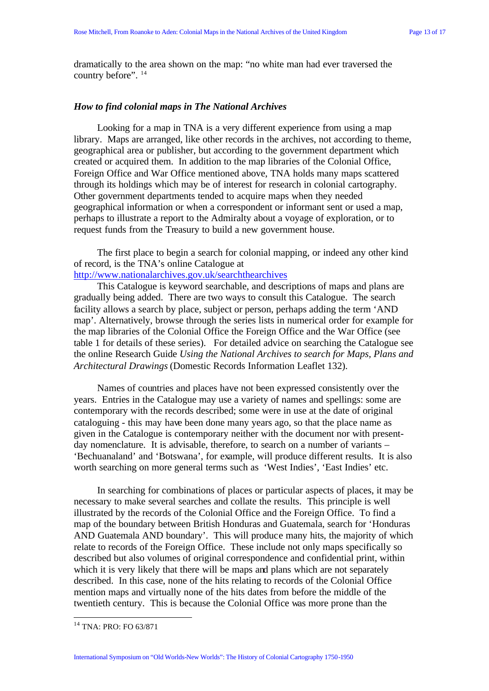dramatically to the area shown on the map: "no white man had ever traversed the country before". <sup>14</sup>

# *How to find colonial maps in The National Archives*

Looking for a map in TNA is a very different experience from using a map library. Maps are arranged, like other records in the archives, not according to theme, geographical area or publisher, but according to the government department which created or acquired them. In addition to the map libraries of the Colonial Office, Foreign Office and War Office mentioned above, TNA holds many maps scattered through its holdings which may be of interest for research in colonial cartography. Other government departments tended to acquire maps when they needed geographical information or when a correspondent or informant sent or used a map, perhaps to illustrate a report to the Admiralty about a voyage of exploration, or to request funds from the Treasury to build a new government house.

The first place to begin a search for colonial mapping, or indeed any other kind of record, is the TNA's online Catalogue at

http://www.nationalarchives.gov.uk/searchthearchives

This Catalogue is keyword searchable, and descriptions of maps and plans are gradually being added. There are two ways to consult this Catalogue. The search facility allows a search by place, subject or person, perhaps adding the term 'AND map'. Alternatively, browse through the series lists in numerical order for example for the map libraries of the Colonial Office the Foreign Office and the War Office (see table 1 for details of these series). For detailed advice on searching the Catalogue see the online Research Guide *Using the National Archives to search for Maps, Plans and Architectural Drawings* (Domestic Records Information Leaflet 132).

Names of countries and places have not been expressed consistently over the years. Entries in the Catalogue may use a variety of names and spellings: some are contemporary with the records described; some were in use at the date of original cataloguing - this may have been done many years ago, so that the place name as given in the Catalogue is contemporary neither with the document nor with presentday nomenclature. It is advisable, therefore, to search on a number of variants – 'Bechuanaland' and 'Botswana', for example, will produce different results. It is also worth searching on more general terms such as 'West Indies', 'East Indies' etc.

In searching for combinations of places or particular aspects of places, it may be necessary to make several searches and collate the results. This principle is well illustrated by the records of the Colonial Office and the Foreign Office. To find a map of the boundary between British Honduras and Guatemala, search for 'Honduras AND Guatemala AND boundary'. This will produce many hits, the majority of which relate to records of the Foreign Office. These include not only maps specifically so described but also volumes of original correspondence and confidential print, within which it is very likely that there will be maps and plans which are not separately described. In this case, none of the hits relating to records of the Colonial Office mention maps and virtually none of the hits dates from before the middle of the twentieth century. This is because the Colonial Office was more prone than the

<sup>&</sup>lt;sup>14</sup> TNA: PRO: FO 63/871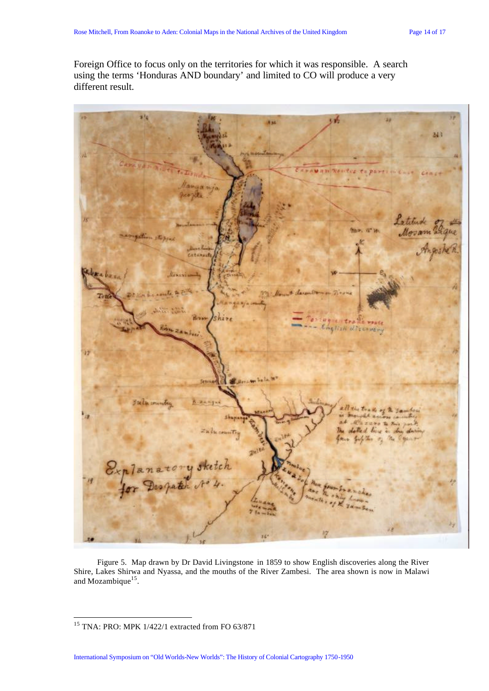Foreign Office to focus only on the territories for which it was responsible. A search using the terms 'Honduras AND boundary' and limited to CO will produce a very different result.



Figure 5. Map drawn by Dr David Livingstone in 1859 to show English discoveries along the River Shire, Lakes Shirwa and Nyassa, and the mouths of the River Zambesi. The area shown is now in Malawi and Mozambique $15$ .

 $15$  TNA: PRO: MPK 1/422/1 extracted from FO 63/871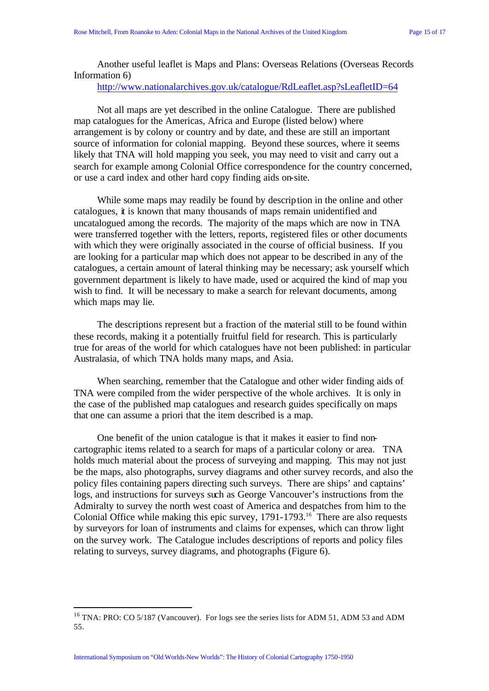Another useful leaflet is Maps and Plans: Overseas Relations (Overseas Records Information 6)

http://www.nationalarchives.gov.uk/catalogue/RdLeaflet.asp?sLeafletID=64

Not all maps are yet described in the online Catalogue. There are published map catalogues for the Americas, Africa and Europe (listed below) where arrangement is by colony or country and by date, and these are still an important source of information for colonial mapping. Beyond these sources, where it seems likely that TNA will hold mapping you seek, you may need to visit and carry out a search for example among Colonial Office correspondence for the country concerned, or use a card index and other hard copy finding aids on-site.

While some maps may readily be found by description in the online and other catalogues, it is known that many thousands of maps remain unidentified and uncatalogued among the records. The majority of the maps which are now in TNA were transferred together with the letters, reports, registered files or other documents with which they were originally associated in the course of official business. If you are looking for a particular map which does not appear to be described in any of the catalogues, a certain amount of lateral thinking may be necessary; ask yourself which government department is likely to have made, used or acquired the kind of map you wish to find. It will be necessary to make a search for relevant documents, among which maps may lie.

The descriptions represent but a fraction of the material still to be found within these records, making it a potentially fruitful field for research. This is particularly true for areas of the world for which catalogues have not been published: in particular Australasia, of which TNA holds many maps, and Asia.

When searching, remember that the Catalogue and other wider finding aids of TNA were compiled from the wider perspective of the whole archives. It is only in the case of the published map catalogues and research guides specifically on maps that one can assume a priori that the item described is a map.

One benefit of the union catalogue is that it makes it easier to find noncartographic items related to a search for maps of a particular colony or area. TNA holds much material about the process of surveying and mapping. This may not just be the maps, also photographs, survey diagrams and other survey records, and also the policy files containing papers directing such surveys. There are ships' and captains' logs, and instructions for surveys such as George Vancouver's instructions from the Admiralty to survey the north west coast of America and despatches from him to the Colonial Office while making this epic survey, 1791-1793.<sup>16</sup> There are also requests by surveyors for loan of instruments and claims for expenses, which can throw light on the survey work. The Catalogue includes descriptions of reports and policy files relating to surveys, survey diagrams, and photographs (Figure 6).

<sup>&</sup>lt;sup>16</sup> TNA: PRO: CO 5/187 (Vancouver). For logs see the series lists for ADM 51, ADM 53 and ADM 55.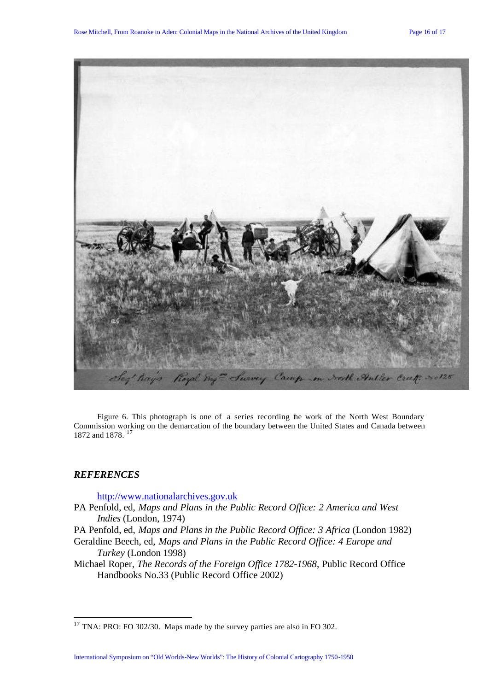

Figure 6. This photograph is one of a series recording the work of the North West Boundary Commission working on the demarcation of the boundary between the United States and Canada between 1872 and 1878.<sup>17</sup>

# *REFERENCES*

l

http://www.nationalarchives.gov.uk

- PA Penfold, ed, *Maps and Plans in the Public Record Office: 2 America and West Indies* (London, 1974)
- PA Penfold, ed, *Maps and Plans in the Public Record Office: 3 Africa* (London 1982)
- Geraldine Beech, ed, *Maps and Plans in the Public Record Office: 4 Europe and Turkey* (London 1998)
- Michael Roper, *The Records of the Foreign Office 1782-1968*, Public Record Office Handbooks No.33 (Public Record Office 2002)

 $17$  TNA: PRO: FO 302/30. Maps made by the survey parties are also in FO 302.